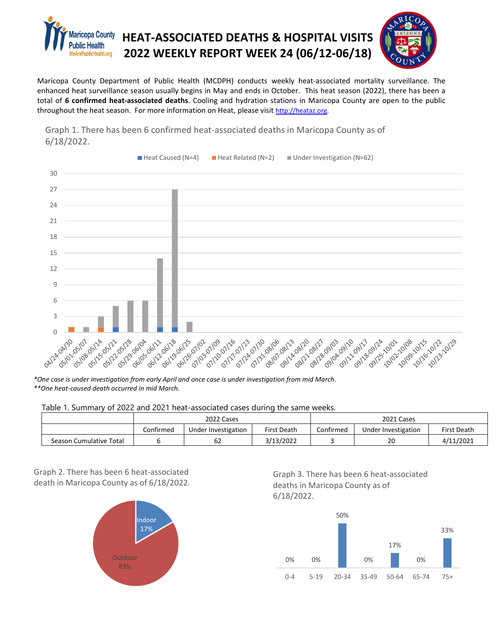



Maricopa County Department of Public Health (MCDPH) conducts weekly heat-associated mortality surveillance. The enhanced heat surveillance season usually begins in May and ends in October. This heat season (2022), there has been a total of **6 confirmed heat-associated deaths**. Cooling and hydration stations in Maricopa County are open to the public throughout the heat season. For more information on Heat, please visit [http://heataz.org.](http://heataz.org/)



Graph 1. There has been 6 confirmed heat-associated deaths in Maricopa County as of 6/18/2022.

*\*One case is under investigation from early April and once case is under investigation from mid March. \*\*One heat-caused death occurred in mid March.* 

Table 1. Summary of 2022 and 2021 heat-associated cases during the same weeks.

|                         | 2022 Cases |                     |             | 2021 Cases |                     |             |
|-------------------------|------------|---------------------|-------------|------------|---------------------|-------------|
|                         | Confirmed  | Under Investigation | First Death | Confirmed  | Under Investigation | First Death |
| Season Cumulative Total |            | ٥z                  | 3/13/2022   |            | 20                  | 4/11/2021   |

Graph 2. There has been 6 heat-associated death in Maricopa County as of 6/18/2022.



Graph 3. There has been 6 heat-associated deaths in Maricopa County as of 6/18/2022.

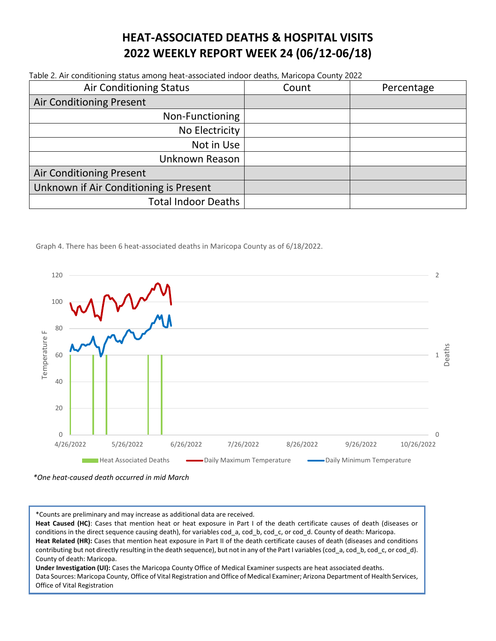## **HEAT-ASSOCIATED DEATHS & HOSPITAL VISITS 2022 WEEKLY REPORT WEEK 24 (06/12-06/18)**

Table 2. Air conditioning status among heat-associated indoor deaths, Maricopa County 2022

| <b>Air Conditioning Status</b>         | Count | Percentage |  |
|----------------------------------------|-------|------------|--|
| <b>Air Conditioning Present</b>        |       |            |  |
| Non-Functioning                        |       |            |  |
| No Electricity                         |       |            |  |
| Not in Use                             |       |            |  |
| Unknown Reason                         |       |            |  |
| <b>Air Conditioning Present</b>        |       |            |  |
| Unknown if Air Conditioning is Present |       |            |  |
| <b>Total Indoor Deaths</b>             |       |            |  |

Graph 4. There has been 6 heat-associated deaths in Maricopa County as of 6/18/2022.



*\*One heat-caused death occurred in mid March*

\*Counts are preliminary and may increase as additional data are received.

**Heat Caused (HC)**: Cases that mention heat or heat exposure in Part I of the death certificate causes of death (diseases or conditions in the direct sequence causing death), for variables cod\_a, cod\_b, cod\_c, or cod\_d. County of death: Maricopa. Heat Related (HR): Cases that mention heat exposure in Part II of the death certificate causes of death (diseases and conditions contributing but not directly resulting in the death sequence), but not in any of the Part I variables (cod\_a, cod\_b, cod\_c, or cod\_d). County of death: Maricopa.

**Under Investigation (UI):** Cases the Maricopa County Office of Medical Examiner suspects are heat associated deaths. Data Sources: Maricopa County, Office of Vital Registration and Office of Medical Examiner; Arizona Department of Health Services, Office of Vital Registration